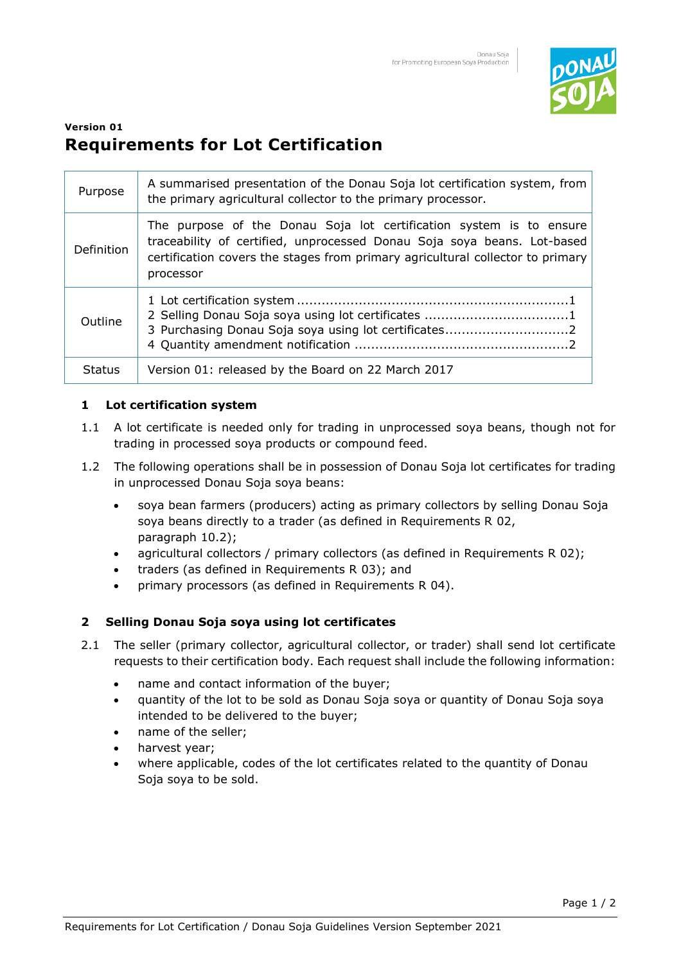

# **Version 01 Requirements for Lot Certification**

| Purpose           | A summarised presentation of the Donau Soja lot certification system, from<br>the primary agricultural collector to the primary processor.                                                                                                    |
|-------------------|-----------------------------------------------------------------------------------------------------------------------------------------------------------------------------------------------------------------------------------------------|
| <b>Definition</b> | The purpose of the Donau Soja lot certification system is to ensure<br>traceability of certified, unprocessed Donau Soja soya beans. Lot-based<br>certification covers the stages from primary agricultural collector to primary<br>processor |
| Outline           | 2 Selling Donau Soja soya using lot certificates 1<br>3 Purchasing Donau Soja soya using lot certificates2                                                                                                                                    |
| <b>Status</b>     | Version 01: released by the Board on 22 March 2017                                                                                                                                                                                            |

## **1 Lot certification system**

- 1.1 A lot certificate is needed only for trading in unprocessed soya beans, though not for trading in processed soya products or compound feed.
- 1.2 The following operations shall be in possession of Donau Soja lot certificates for trading in unprocessed Donau Soja soya beans:
	- soya bean farmers (producers) acting as primary collectors by selling Donau Soja soya beans directly to a trader (as defined in Requirements R 02, paragraph 10.2);
	- agricultural collectors / primary collectors (as defined in Requirements R 02);
	- traders (as defined in Requirements R 03); and
	- primary processors (as defined in Requirements R 04).

## **2 Selling Donau Soja soya using lot certificates**

- 2.1 The seller (primary collector, agricultural collector, or trader) shall send lot certificate requests to their certification body. Each request shall include the following information:
	- name and contact information of the buyer;
	- quantity of the lot to be sold as Donau Soja soya or quantity of Donau Soja soya intended to be delivered to the buyer;
	- name of the seller;
	- harvest year;
	- where applicable, codes of the lot certificates related to the quantity of Donau Soja soya to be sold.